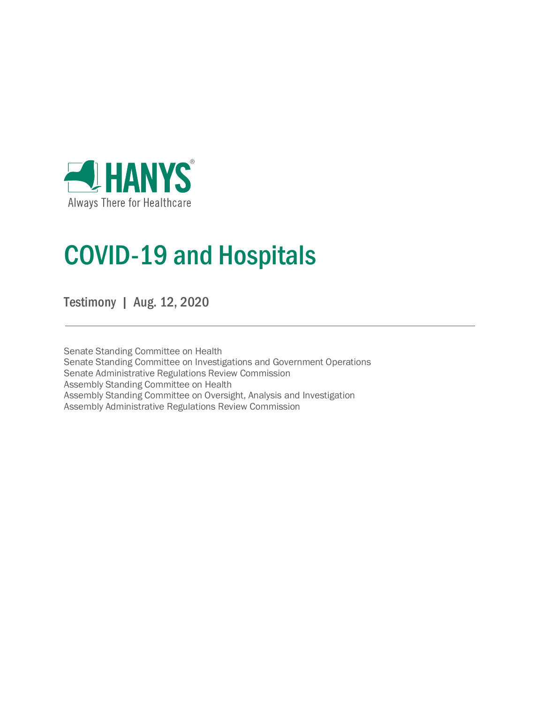

# COVID-19 and Hospitals

Testimony | Aug. 12, 2020

Senate Standing Committee on Health Senate Standing Committee on Investigations and Government Operations Senate Administrative Regulations Review Commission Assembly Standing Committee on Health Assembly Standing Committee on Oversight, Analysis and Investigation Assembly Administrative Regulations Review Commission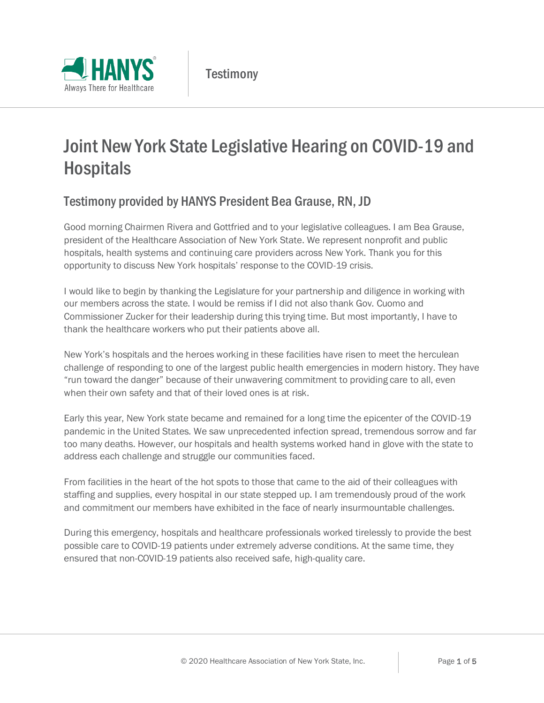

# Joint New York State Legislative Hearing on COVID-19 and **Hospitals**

## Testimony provided by HANYS President Bea Grause, RN, JD

Good morning Chairmen Rivera and Gottfried and to your legislative colleagues. I am Bea Grause, president of the Healthcare Association of New York State. We represent nonprofit and public hospitals, health systems and continuing care providers across New York. Thank you for this opportunity to discuss New York hospitals' response to the COVID-19 crisis.

I would like to begin by thanking the Legislature for your partnership and diligence in working with our members across the state. I would be remiss if I did not also thank Gov. Cuomo and Commissioner Zucker for their leadership during this trying time. But most importantly, I have to thank the healthcare workers who put their patients above all.

New York's hospitals and the heroes working in these facilities have risen to meet the herculean challenge of responding to one of the largest public health emergencies in modern history. They have "run toward the danger" because of their unwavering commitment to providing care to all, even when their own safety and that of their loved ones is at risk.

Early this year, New York state became and remained for a long time the epicenter of the COVID-19 pandemic in the United States. We saw unprecedented infection spread, tremendous sorrow and far too many deaths. However, our hospitals and health systems worked hand in glove with the state to address each challenge and struggle our communities faced.

From facilities in the heart of the hot spots to those that came to the aid of their colleagues with staffing and supplies, every hospital in our state stepped up. I am tremendously proud of the work and commitment our members have exhibited in the face of nearly insurmountable challenges.

During this emergency, hospitals and healthcare professionals worked tirelessly to provide the best possible care to COVID-19 patients under extremely adverse conditions. At the same time, they ensured that non-COVID-19 patients also received safe, high-quality care.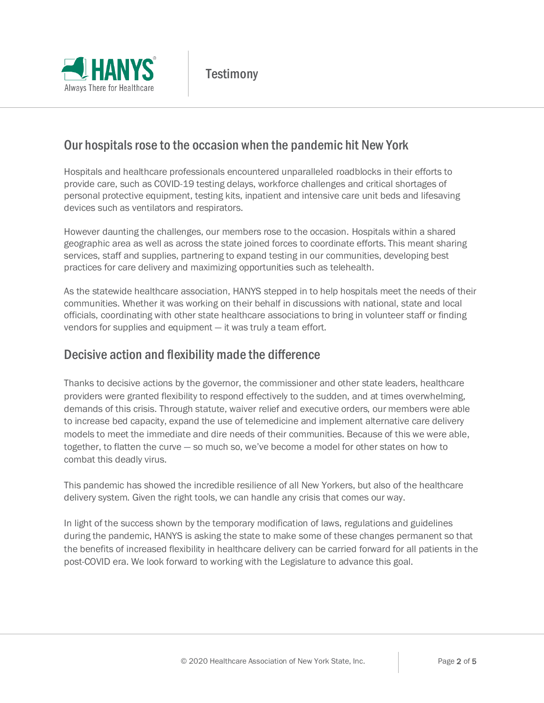

#### Our hospitals rose to the occasion when the pandemic hit New York

Hospitals and healthcare professionals encountered unparalleled roadblocks in their efforts to provide care, such as COVID-19 testing delays, workforce challenges and critical shortages of personal protective equipment, testing kits, inpatient and intensive care unit beds and lifesaving devices such as ventilators and respirators.

However daunting the challenges, our members rose to the occasion. Hospitals within a shared geographic area as well as across the state joined forces to coordinate efforts. This meant sharing services, staff and supplies, partnering to expand testing in our communities, developing best practices for care delivery and maximizing opportunities such as telehealth.

As the statewide healthcare association, HANYS stepped in to help hospitals meet the needs of their communities. Whether it was working on their behalf in discussions with national, state and local officials, coordinating with other state healthcare associations to bring in volunteer staff or finding vendors for supplies and equipment — it was truly a team effort.

#### Decisive action and flexibility made the difference

Thanks to decisive actions by the governor, the commissioner and other state leaders, healthcare providers were granted flexibility to respond effectively to the sudden, and at times overwhelming, demands of this crisis. Through statute, waiver relief and executive orders, our members were able to increase bed capacity, expand the use of telemedicine and implement alternative care delivery models to meet the immediate and dire needs of their communities. Because of this we were able, together, to flatten the curve — so much so, we've become a model for other states on how to combat this deadly virus.

This pandemic has showed the incredible resilience of all New Yorkers, but also of the healthcare delivery system. Given the right tools, we can handle any crisis that comes our way.

In light of the success shown by the temporary modification of laws, regulations and guidelines during the pandemic, HANYS is asking the state to make some of these changes permanent so that the benefits of increased flexibility in healthcare delivery can be carried forward for all patients in the post-COVID era. We look forward to working with the Legislature to advance this goal.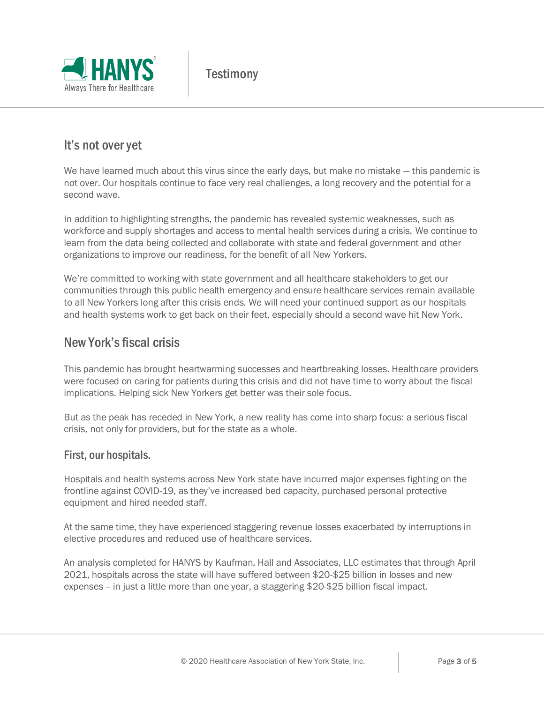

### It's not over yet

We have learned much about this virus since the early days, but make no mistake — this pandemic is not over. Our hospitals continue to face very real challenges, a long recovery and the potential for a second wave.

In addition to highlighting strengths, the pandemic has revealed systemic weaknesses, such as workforce and supply shortages and access to mental health services during a crisis. We continue to learn from the data being collected and collaborate with state and federal government and other organizations to improve our readiness, for the benefit of all New Yorkers.

We're committed to working with state government and all healthcare stakeholders to get our communities through this public health emergency and ensure healthcare services remain available to all New Yorkers long after this crisis ends. We will need your continued support as our hospitals and health systems work to get back on their feet, especially should a second wave hit New York.

#### New York's fiscal crisis

This pandemic has brought heartwarming successes and heartbreaking losses. Healthcare providers were focused on caring for patients during this crisis and did not have time to worry about the fiscal implications. Helping sick New Yorkers get better was their sole focus.

But as the peak has receded in New York, a new reality has come into sharp focus: a serious fiscal crisis, not only for providers, but for the state as a whole.

#### First, our hospitals.

Hospitals and health systems across New York state have incurred major expenses fighting on the frontline against COVID-19, as they've increased bed capacity, purchased personal protective equipment and hired needed staff.

At the same time, they have experienced staggering revenue losses exacerbated by interruptions in elective procedures and reduced use of healthcare services.

An analysis completed for HANYS by Kaufman, Hall and Associates, LLC estimates that through April 2021, hospitals across the state will have suffered between \$20-\$25 billion in losses and new expenses -- in just a little more than one year, a staggering \$20-\$25 billion fiscal impact.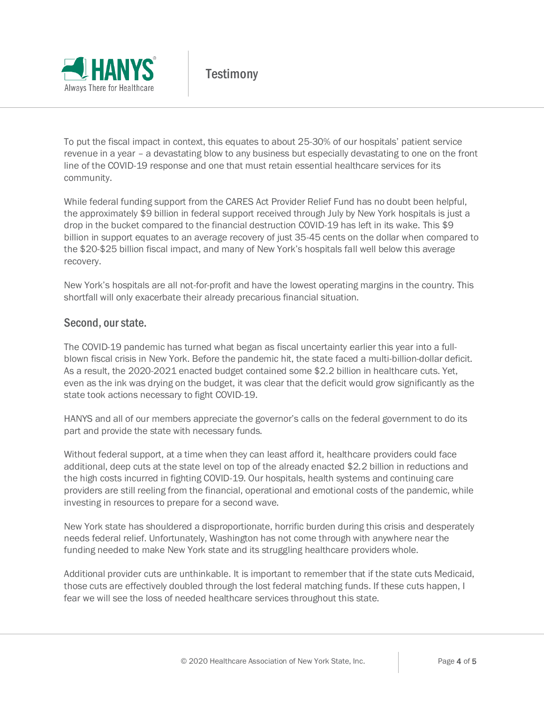

To put the fiscal impact in context, this equates to about 25-30% of our hospitals' patient service revenue in a year – a devastating blow to any business but especially devastating to one on the front line of the COVID-19 response and one that must retain essential healthcare services for its community.

While federal funding support from the CARES Act Provider Relief Fund has no doubt been helpful, the approximately \$9 billion in federal support received through July by New York hospitals is just a drop in the bucket compared to the financial destruction COVID-19 has left in its wake. This \$9 billion in support equates to an average recovery of just 35-45 cents on the dollar when compared to the \$20-\$25 billion fiscal impact, and many of New York's hospitals fall well below this average recovery.

New York's hospitals are all not-for-profit and have the lowest operating margins in the country. This shortfall will only exacerbate their already precarious financial situation.

#### Second, our state.

The COVID-19 pandemic has turned what began as fiscal uncertainty earlier this year into a fullblown fiscal crisis in New York. Before the pandemic hit, the state faced a multi-billion-dollar deficit. As a result, the 2020-2021 enacted budget contained some \$2.2 billion in healthcare cuts. Yet, even as the ink was drying on the budget, it was clear that the deficit would grow significantly as the state took actions necessary to fight COVID-19.

HANYS and all of our members appreciate the governor's calls on the federal government to do its part and provide the state with necessary funds.

Without federal support, at a time when they can least afford it, healthcare providers could face additional, deep cuts at the state level on top of the already enacted \$2.2 billion in reductions and the high costs incurred in fighting COVID-19. Our hospitals, health systems and continuing care providers are still reeling from the financial, operational and emotional costs of the pandemic, while investing in resources to prepare for a second wave.

New York state has shouldered a disproportionate, horrific burden during this crisis and desperately needs federal relief. Unfortunately, Washington has not come through with anywhere near the funding needed to make New York state and its struggling healthcare providers whole.

Additional provider cuts are unthinkable. It is important to remember that if the state cuts Medicaid, those cuts are effectively doubled through the lost federal matching funds. If these cuts happen, I fear we will see the loss of needed healthcare services throughout this state.